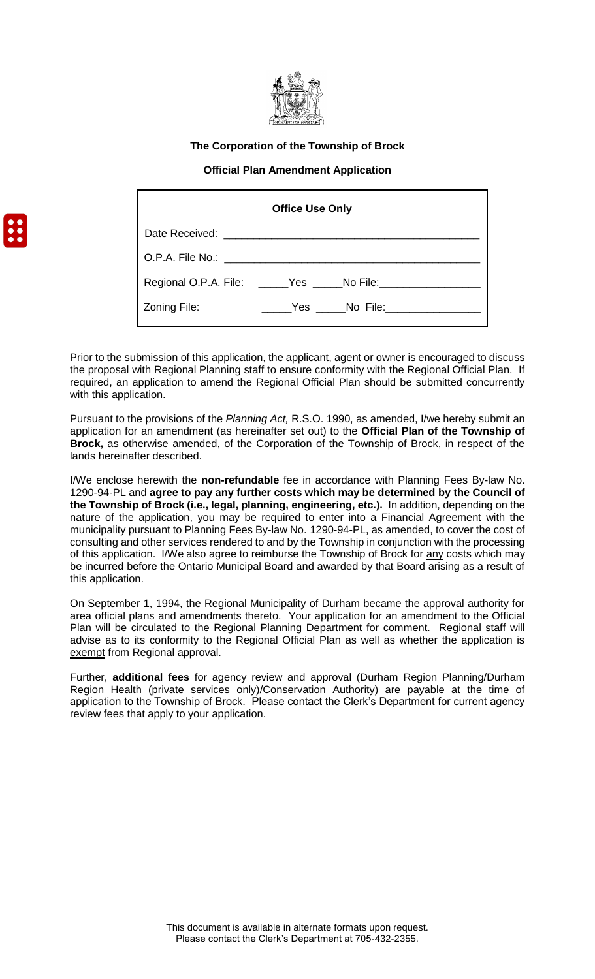

### **The Corporation of the Township of Brock**

### **Official Plan Amendment Application**

|                  | <b>Office Use Only</b>                              |
|------------------|-----------------------------------------------------|
|                  |                                                     |
| O.P.A. File No.: |                                                     |
|                  | Regional O.P.A. File: _____Yes _____No File: ______ |
| Zoning File:     | Yes No File:                                        |

Prior to the submission of this application, the applicant, agent or owner is encouraged to discuss the proposal with Regional Planning staff to ensure conformity with the Regional Official Plan. If required, an application to amend the Regional Official Plan should be submitted concurrently with this application.

Pursuant to the provisions of the *Planning Act,* R.S.O. 1990, as amended, I/we hereby submit an application for an amendment (as hereinafter set out) to the **Official Plan of the Township of Brock,** as otherwise amended, of the Corporation of the Township of Brock, in respect of the lands hereinafter described.

I/We enclose herewith the **non-refundable** fee in accordance with Planning Fees By-law No. 1290-94-PL and **agree to pay any further costs which may be determined by the Council of the Township of Brock (i.e., legal, planning, engineering, etc.).** In addition, depending on the nature of the application, you may be required to enter into a Financial Agreement with the municipality pursuant to Planning Fees By-law No. 1290-94-PL, as amended, to cover the cost of consulting and other services rendered to and by the Township in conjunction with the processing of this application. I/We also agree to reimburse the Township of Brock for any costs which may be incurred before the Ontario Municipal Board and awarded by that Board arising as a result of this application.

On September 1, 1994, the Regional Municipality of Durham became the approval authority for area official plans and amendments thereto. Your application for an amendment to the Official Plan will be circulated to the Regional Planning Department for comment. Regional staff will advise as to its conformity to the Regional Official Plan as well as whether the application is exempt from Regional approval.

Further, **additional fees** for agency review and approval (Durham Region Planning/Durham Region Health (private services only)/Conservation Authority) are payable at the time of application to the Township of Brock. Please contact the Clerk's Department for current agency review fees that apply to your application.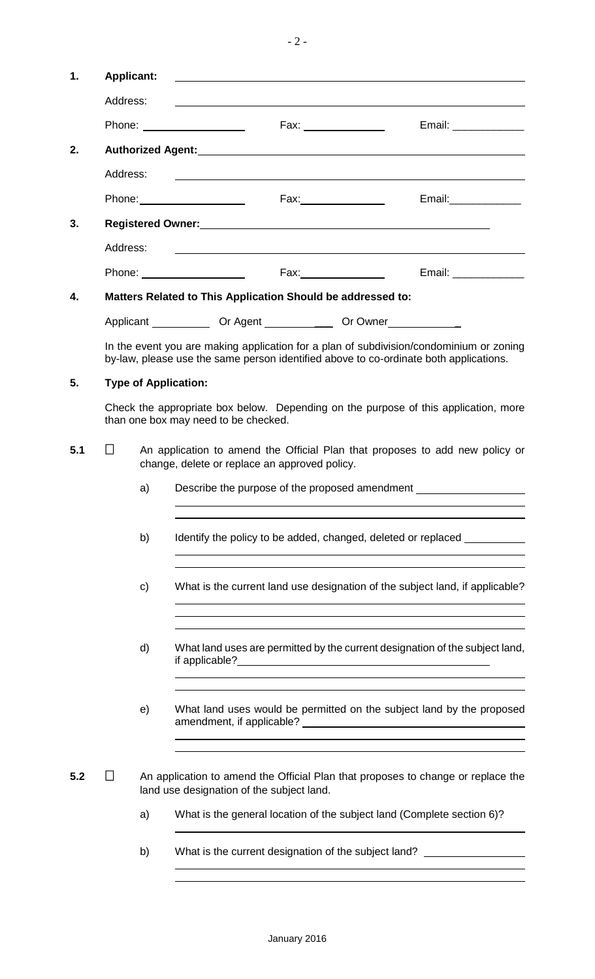| 1.  | <b>Applicant:</b>                                                                                                                       |    |                             |                                                             |                                                                                  |                                                                                                                                                                                                                                                                          |  |  |
|-----|-----------------------------------------------------------------------------------------------------------------------------------------|----|-----------------------------|-------------------------------------------------------------|----------------------------------------------------------------------------------|--------------------------------------------------------------------------------------------------------------------------------------------------------------------------------------------------------------------------------------------------------------------------|--|--|
|     | Address:                                                                                                                                |    |                             |                                                             |                                                                                  |                                                                                                                                                                                                                                                                          |  |  |
|     |                                                                                                                                         |    | Phone: ___________________  |                                                             | Fax: ________________                                                            | Email: _____________                                                                                                                                                                                                                                                     |  |  |
| 2.  |                                                                                                                                         |    |                             |                                                             |                                                                                  |                                                                                                                                                                                                                                                                          |  |  |
|     | Address:                                                                                                                                |    |                             |                                                             |                                                                                  | <u> 1990 - Johann Stoff, amerikansk politiker (d. 1980)</u>                                                                                                                                                                                                              |  |  |
|     |                                                                                                                                         |    |                             |                                                             |                                                                                  | Email:______________                                                                                                                                                                                                                                                     |  |  |
| 3.  |                                                                                                                                         |    |                             |                                                             |                                                                                  |                                                                                                                                                                                                                                                                          |  |  |
|     | Address:                                                                                                                                |    |                             | <u> 1989 - Andrea Stadt Britain, amerikansk politiker (</u> |                                                                                  |                                                                                                                                                                                                                                                                          |  |  |
|     |                                                                                                                                         |    |                             |                                                             |                                                                                  | Email: ______________                                                                                                                                                                                                                                                    |  |  |
| 4.  |                                                                                                                                         |    |                             |                                                             | Matters Related to This Application Should be addressed to:                      |                                                                                                                                                                                                                                                                          |  |  |
|     |                                                                                                                                         |    |                             |                                                             | Applicant _______________ Or Agent _________________ Or Owner __________________ |                                                                                                                                                                                                                                                                          |  |  |
|     |                                                                                                                                         |    |                             |                                                             |                                                                                  | In the event you are making application for a plan of subdivision/condominium or zoning<br>by-law, please use the same person identified above to co-ordinate both applications.                                                                                         |  |  |
| 5.  |                                                                                                                                         |    | <b>Type of Application:</b> |                                                             |                                                                                  |                                                                                                                                                                                                                                                                          |  |  |
|     | Check the appropriate box below. Depending on the purpose of this application, more<br>than one box may need to be checked.             |    |                             |                                                             |                                                                                  |                                                                                                                                                                                                                                                                          |  |  |
| 5.1 | $\Box$<br>An application to amend the Official Plan that proposes to add new policy or<br>change, delete or replace an approved policy. |    |                             |                                                             |                                                                                  |                                                                                                                                                                                                                                                                          |  |  |
|     |                                                                                                                                         | a) |                             |                                                             | Describe the purpose of the proposed amendment                                   | and the control of the control of the control of the control of the control of the control of the control of the                                                                                                                                                         |  |  |
|     |                                                                                                                                         | b) |                             |                                                             |                                                                                  | <u> 1989 - Johann John Stone, Amerikaansk politiker († 1908)</u><br>Identify the policy to be added, changed, deleted or replaced ____________<br><u> 1989 - Johann Barn, mars ann an t-Amhain ann an t-Amhain ann an t-Amhain ann an t-Amhain an t-Amhain ann an t-</u> |  |  |
|     |                                                                                                                                         | C) |                             |                                                             |                                                                                  | What is the current land use designation of the subject land, if applicable?<br>and the control of the control of the control of the control of the control of the control of the control of the                                                                         |  |  |
|     |                                                                                                                                         | d) |                             |                                                             |                                                                                  | <u> 1989 - Johann Harry Harry Harry Harry Harry Harry Harry Harry Harry Harry Harry Harry Harry Harry Harry Harry</u><br>What land uses are permitted by the current designation of the subject land,                                                                    |  |  |
|     |                                                                                                                                         | e) |                             |                                                             |                                                                                  | What land uses would be permitted on the subject land by the proposed<br>and the control of the control of the control of the control of the control of the control of the control of the                                                                                |  |  |
| 5.2 |                                                                                                                                         |    |                             | land use designation of the subject land.                   |                                                                                  | An application to amend the Official Plan that proposes to change or replace the                                                                                                                                                                                         |  |  |
|     |                                                                                                                                         | a) |                             |                                                             |                                                                                  | What is the general location of the subject land (Complete section 6)?                                                                                                                                                                                                   |  |  |
|     |                                                                                                                                         | b) |                             |                                                             |                                                                                  | What is the current designation of the subject land? ___________________________                                                                                                                                                                                         |  |  |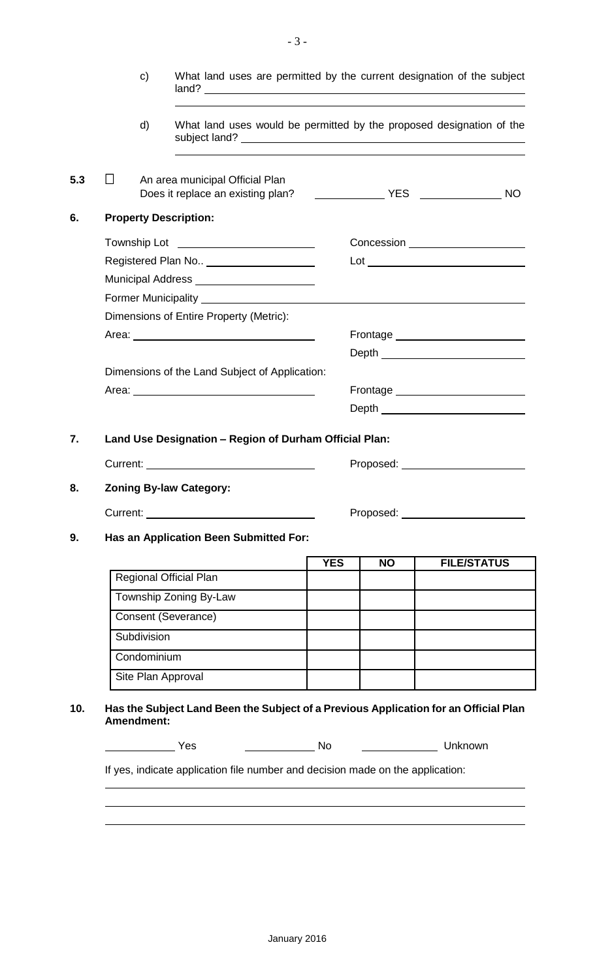| d)          |                                                                                                                                                                                                                                     |  |            |                                  | What land uses would be permitted by the proposed designation of the |
|-------------|-------------------------------------------------------------------------------------------------------------------------------------------------------------------------------------------------------------------------------------|--|------------|----------------------------------|----------------------------------------------------------------------|
| $\perp$     | An area municipal Official Plan                                                                                                                                                                                                     |  |            |                                  | <b>NO</b>                                                            |
|             | <b>Property Description:</b>                                                                                                                                                                                                        |  |            |                                  |                                                                      |
|             |                                                                                                                                                                                                                                     |  |            |                                  |                                                                      |
|             | Registered Plan No ______________________                                                                                                                                                                                           |  |            |                                  |                                                                      |
|             | Municipal Address _______________________                                                                                                                                                                                           |  |            |                                  |                                                                      |
|             |                                                                                                                                                                                                                                     |  |            |                                  |                                                                      |
|             | Dimensions of Entire Property (Metric):                                                                                                                                                                                             |  |            |                                  |                                                                      |
|             |                                                                                                                                                                                                                                     |  |            |                                  | Frontage _______________________                                     |
|             |                                                                                                                                                                                                                                     |  |            |                                  | Depth ___________________________                                    |
|             | Dimensions of the Land Subject of Application:                                                                                                                                                                                      |  |            |                                  |                                                                      |
|             | Area: <u>Area:</u> Area: Area: Area: Area: Area: Area: Area: Area: Area: Area: Area: Area: Area: Area: Area: Area: Area: Area: Area: Area: Area: Area: Area: Area: Area: Area: Area: Area: Area: Area: Area: Area: Area: Area: Area |  |            |                                  | Frontage ________________________                                    |
|             |                                                                                                                                                                                                                                     |  |            |                                  | Depth ____________________________                                   |
|             | Land Use Designation - Region of Durham Official Plan:                                                                                                                                                                              |  |            |                                  |                                                                      |
|             |                                                                                                                                                                                                                                     |  |            |                                  | Proposed: ________________________                                   |
|             |                                                                                                                                                                                                                                     |  |            |                                  |                                                                      |
|             | <b>Zoning By-law Category:</b>                                                                                                                                                                                                      |  |            |                                  |                                                                      |
|             |                                                                                                                                                                                                                                     |  |            | Proposed: <u>_______________</u> |                                                                      |
|             | Has an Application Been Submitted For:                                                                                                                                                                                              |  |            |                                  |                                                                      |
|             |                                                                                                                                                                                                                                     |  | <b>YES</b> | <b>NO</b>                        | <b>FILE/STATUS</b>                                                   |
|             | <b>Regional Official Plan</b>                                                                                                                                                                                                       |  |            |                                  |                                                                      |
|             | Township Zoning By-Law                                                                                                                                                                                                              |  |            |                                  |                                                                      |
|             | Consent (Severance)                                                                                                                                                                                                                 |  |            |                                  |                                                                      |
| Subdivision |                                                                                                                                                                                                                                     |  |            |                                  |                                                                      |
| Condominium |                                                                                                                                                                                                                                     |  |            |                                  |                                                                      |
|             | Site Plan Approval                                                                                                                                                                                                                  |  |            |                                  |                                                                      |
|             |                                                                                                                                                                                                                                     |  |            |                                  |                                                                      |
| Amendment:  | Has the Subject Land Been the Subject of a Previous Application for an Official Plan                                                                                                                                                |  |            |                                  |                                                                      |
|             |                                                                                                                                                                                                                                     |  |            |                                  |                                                                      |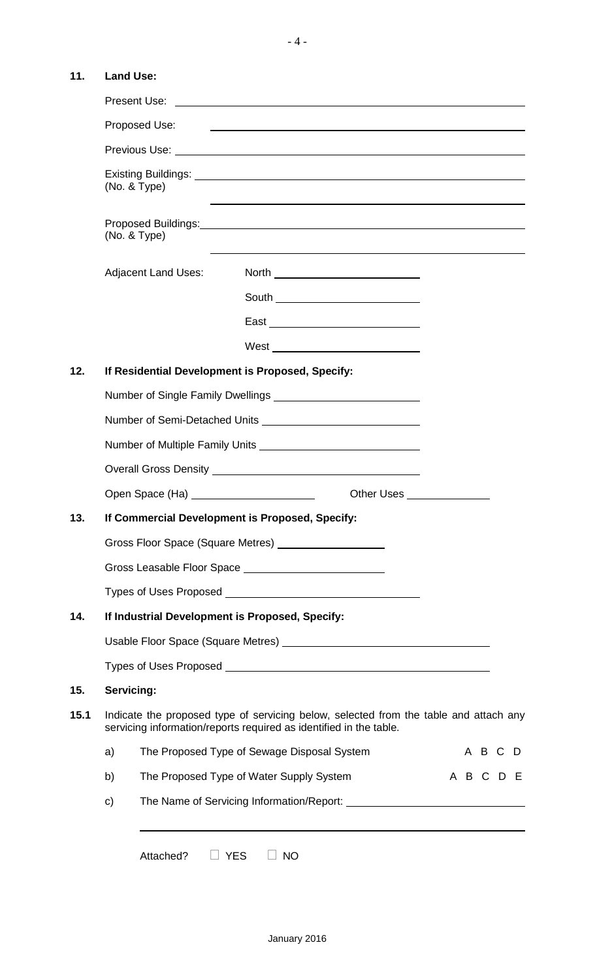## **11. Land Use:**

|      |                                                                                                                                                             | Proposed Use:       |                                                                                                                                                                                                                                      |                                       |                             |  |  |           |  |   |  |
|------|-------------------------------------------------------------------------------------------------------------------------------------------------------------|---------------------|--------------------------------------------------------------------------------------------------------------------------------------------------------------------------------------------------------------------------------------|---------------------------------------|-----------------------------|--|--|-----------|--|---|--|
|      |                                                                                                                                                             |                     |                                                                                                                                                                                                                                      |                                       |                             |  |  |           |  |   |  |
|      |                                                                                                                                                             | (No. & Type)        | <u> 1989 - Johann Stoff, amerikansk politiker (d. 1989)</u>                                                                                                                                                                          |                                       |                             |  |  |           |  |   |  |
|      |                                                                                                                                                             | (No. & Type)        |                                                                                                                                                                                                                                      |                                       |                             |  |  |           |  |   |  |
|      |                                                                                                                                                             | Adjacent Land Uses: |                                                                                                                                                                                                                                      | North _______________________________ |                             |  |  |           |  |   |  |
|      |                                                                                                                                                             |                     |                                                                                                                                                                                                                                      |                                       |                             |  |  |           |  |   |  |
|      |                                                                                                                                                             |                     |                                                                                                                                                                                                                                      | East ______________________________   |                             |  |  |           |  |   |  |
|      |                                                                                                                                                             |                     |                                                                                                                                                                                                                                      |                                       |                             |  |  |           |  |   |  |
| 12.  |                                                                                                                                                             |                     | If Residential Development is Proposed, Specify:                                                                                                                                                                                     |                                       |                             |  |  |           |  |   |  |
|      |                                                                                                                                                             |                     |                                                                                                                                                                                                                                      |                                       |                             |  |  |           |  |   |  |
|      |                                                                                                                                                             |                     |                                                                                                                                                                                                                                      |                                       |                             |  |  |           |  |   |  |
|      |                                                                                                                                                             |                     |                                                                                                                                                                                                                                      |                                       |                             |  |  |           |  |   |  |
|      |                                                                                                                                                             |                     |                                                                                                                                                                                                                                      |                                       |                             |  |  |           |  |   |  |
|      |                                                                                                                                                             |                     | Open Space (Ha) ________________________                                                                                                                                                                                             |                                       | Other Uses ________________ |  |  |           |  |   |  |
| 13.  | If Commercial Development is Proposed, Specify:                                                                                                             |                     |                                                                                                                                                                                                                                      |                                       |                             |  |  |           |  |   |  |
|      |                                                                                                                                                             |                     |                                                                                                                                                                                                                                      |                                       |                             |  |  |           |  |   |  |
|      |                                                                                                                                                             |                     |                                                                                                                                                                                                                                      |                                       |                             |  |  |           |  |   |  |
|      |                                                                                                                                                             |                     |                                                                                                                                                                                                                                      |                                       |                             |  |  |           |  |   |  |
| 14.  |                                                                                                                                                             |                     | If Industrial Development is Proposed, Specify:                                                                                                                                                                                      |                                       |                             |  |  |           |  |   |  |
|      |                                                                                                                                                             |                     |                                                                                                                                                                                                                                      |                                       |                             |  |  |           |  |   |  |
|      |                                                                                                                                                             |                     | Types of Uses Proposed <b>example and the Contract of Contract Contract of Contract Contract Contract Contract Contract Contract Contract Contract Contract Contract Contract Contract Contract Contract Contract Contract Contr</b> |                                       |                             |  |  |           |  |   |  |
| 15.  | Servicing:                                                                                                                                                  |                     |                                                                                                                                                                                                                                      |                                       |                             |  |  |           |  |   |  |
| 15.1 | Indicate the proposed type of servicing below, selected from the table and attach any<br>servicing information/reports required as identified in the table. |                     |                                                                                                                                                                                                                                      |                                       |                             |  |  |           |  |   |  |
|      | a)                                                                                                                                                          |                     | The Proposed Type of Sewage Disposal System                                                                                                                                                                                          |                                       |                             |  |  | A B C     |  | D |  |
|      | b)                                                                                                                                                          |                     | The Proposed Type of Water Supply System                                                                                                                                                                                             |                                       |                             |  |  | A B C D E |  |   |  |
|      | C)                                                                                                                                                          |                     |                                                                                                                                                                                                                                      |                                       |                             |  |  |           |  |   |  |
|      |                                                                                                                                                             | Attached?           | <b>YES</b><br><b>NO</b>                                                                                                                                                                                                              |                                       |                             |  |  |           |  |   |  |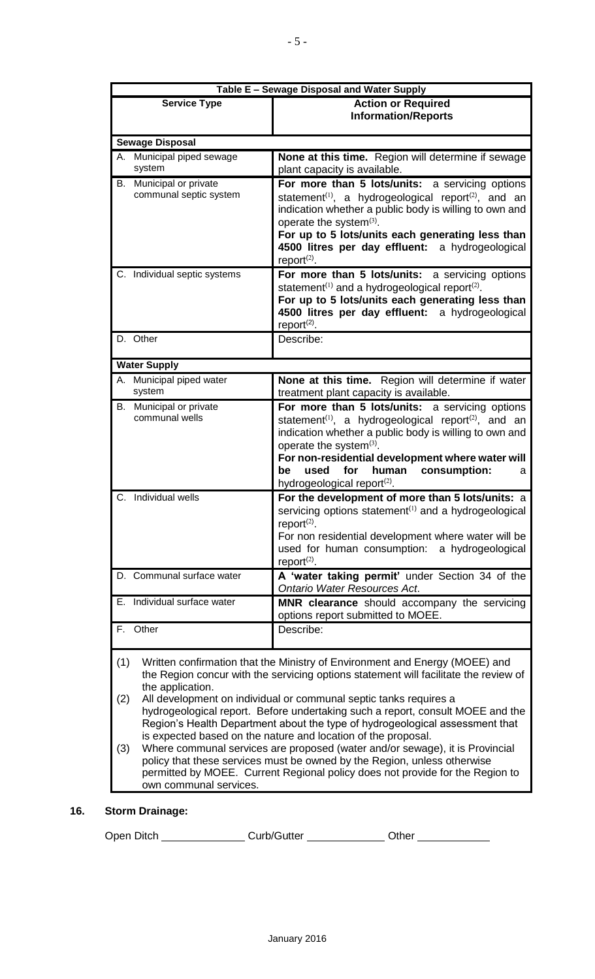|                                                      | Table E - Sewage Disposal and Water Supply                                                                                                          |
|------------------------------------------------------|-----------------------------------------------------------------------------------------------------------------------------------------------------|
| <b>Service Type</b>                                  | <b>Action or Required</b>                                                                                                                           |
|                                                      | <b>Information/Reports</b>                                                                                                                          |
|                                                      |                                                                                                                                                     |
| <b>Sewage Disposal</b><br>A. Municipal piped sewage  |                                                                                                                                                     |
| system                                               | None at this time. Region will determine if sewage<br>plant capacity is available.                                                                  |
| Municipal or private<br>В.<br>communal septic system | For more than 5 lots/units: a servicing options                                                                                                     |
|                                                      | statement <sup>(1)</sup> , a hydrogeological report <sup>(2)</sup> , and an<br>indication whether a public body is willing to own and               |
|                                                      | operate the system $(3)$ .                                                                                                                          |
|                                                      | For up to 5 lots/units each generating less than                                                                                                    |
|                                                      | 4500 litres per day effluent: a hydrogeological                                                                                                     |
|                                                      | report $(2)$ .                                                                                                                                      |
| C. Individual septic systems                         | For more than 5 lots/units: a servicing options                                                                                                     |
|                                                      | statement <sup>(1)</sup> and a hydrogeological report <sup>(2)</sup> .<br>For up to 5 lots/units each generating less than                          |
|                                                      | 4500 litres per day effluent: a hydrogeological                                                                                                     |
|                                                      | report $(2)$ .                                                                                                                                      |
| D. Other                                             | Describe:                                                                                                                                           |
| <b>Water Supply</b>                                  |                                                                                                                                                     |
| A. Municipal piped water                             | None at this time. Region will determine if water                                                                                                   |
| system                                               | treatment plant capacity is available.                                                                                                              |
| Municipal or private<br>В.<br>communal wells         | For more than 5 lots/units: a servicing options<br>statement <sup>(1)</sup> , a hydrogeological report <sup>(2)</sup> , and an                      |
|                                                      | indication whether a public body is willing to own and                                                                                              |
|                                                      | operate the system $(3)$ .                                                                                                                          |
|                                                      | For non-residential development where water will                                                                                                    |
|                                                      | used<br>for<br>human<br>consumption:<br>be<br>a<br>hydrogeological report <sup>(2)</sup> .                                                          |
| C. Individual wells                                  | For the development of more than 5 lots/units: a                                                                                                    |
|                                                      | servicing options statement <sup>(1)</sup> and a hydrogeological                                                                                    |
|                                                      | report $(2)$ .                                                                                                                                      |
|                                                      | For non residential development where water will be                                                                                                 |
|                                                      | used for human consumption: a hydrogeological                                                                                                       |
| D. Communal surface water                            | report $(2)$ .<br>A 'water taking permit' under Section 34 of the                                                                                   |
|                                                      | Ontario Water Resources Act.                                                                                                                        |
| E. Individual surface water                          | MNR clearance should accompany the servicing                                                                                                        |
|                                                      | options report submitted to MOEE.                                                                                                                   |
| F. Other                                             | Describe:                                                                                                                                           |
| (1)                                                  | Written confirmation that the Ministry of Environment and Energy (MOEE) and                                                                         |
|                                                      | the Region concur with the servicing options statement will facilitate the review of                                                                |
| the application.                                     |                                                                                                                                                     |
| (2)                                                  | All development on individual or communal septic tanks requires a<br>hydrogeological report. Before undertaking such a report, consult MOEE and the |
|                                                      | Region's Health Department about the type of hydrogeological assessment that                                                                        |
|                                                      | is expected based on the nature and location of the proposal.                                                                                       |
| (3)                                                  | Where communal services are proposed (water and/or sewage), it is Provincial                                                                        |
|                                                      | policy that these services must be owned by the Region, unless otherwise                                                                            |
| own communal services.                               | permitted by MOEE. Current Regional policy does not provide for the Region to                                                                       |

# **16. Storm Drainage:**

Open Ditch \_\_\_\_\_\_\_\_\_\_\_\_\_\_\_\_Curb/Gutter \_\_\_\_\_\_\_\_\_\_\_\_\_Other \_\_\_\_\_\_\_\_\_\_\_\_\_\_\_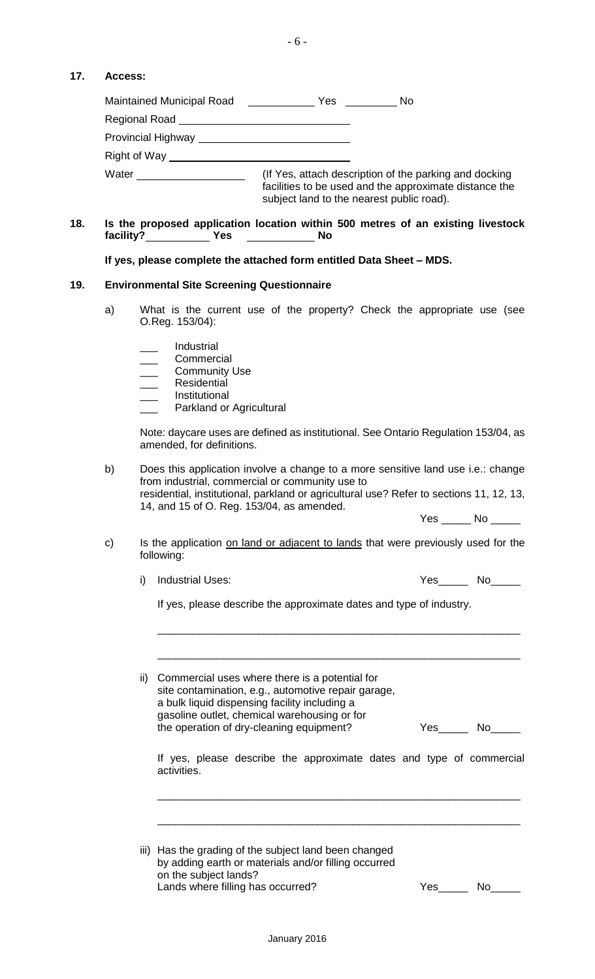## **17. Access:**

| <b>Maintained Municipal Road</b>       | No.<br><b>Yes</b>                                                                                                                                             |
|----------------------------------------|---------------------------------------------------------------------------------------------------------------------------------------------------------------|
| Regional Road                          |                                                                                                                                                               |
| Provincial Highway <b>Example 2018</b> |                                                                                                                                                               |
| Right of Way                           |                                                                                                                                                               |
| Water                                  | (If Yes, attach description of the parking and docking<br>facilities to be used and the approximate distance the<br>subject land to the nearest public road). |

**18. Is the proposed application location within 500 metres of an existing livestock**  facility?\_\_\_\_\_\_\_\_\_\_\_\_\_\_Yes \_\_\_\_\_\_\_\_\_\_\_\_\_\_\_\_\_\_\_No

**If yes, please complete the attached form entitled Data Sheet – MDS.**

#### **19. Environmental Site Screening Questionnaire**

- a) What is the current use of the property? Check the appropriate use (see O.Reg. 153/04):
	- \_\_\_ Industrial
	- \_\_\_ Commercial
	- Community Use
	- Residential
	- **Institutional**
	- Parkland or Agricultural

Note: daycare uses are defined as institutional. See Ontario Regulation 153/04, as amended, for definitions.

b) Does this application involve a change to a more sensitive land use i.e.: change from industrial, commercial or community use to residential, institutional, parkland or agricultural use? Refer to sections 11, 12, 13, 14, and 15 of O. Reg. 153/04, as amended.

Yes \_\_\_\_\_\_ No \_\_\_\_\_\_

- c) Is the application on land or adjacent to lands that were previously used for the following:
	-
	- i) Industrial Uses: Yes\_\_\_\_ No\_\_\_\_

If yes, please describe the approximate dates and type of industry.

\_\_\_\_\_\_\_\_\_\_\_\_\_\_\_\_\_\_\_\_\_\_\_\_\_\_\_\_\_\_\_\_\_\_\_\_\_\_\_\_\_\_\_\_\_\_\_\_\_\_\_\_\_\_\_\_\_\_\_\_\_

| ii) Commercial uses where there is a potential for<br>site contamination, e.g., automotive repair garage,<br>a bulk liquid dispensing facility including a<br>gasoline outlet, chemical warehousing or for<br>the operation of dry-cleaning equipment? | Yes | No l |
|--------------------------------------------------------------------------------------------------------------------------------------------------------------------------------------------------------------------------------------------------------|-----|------|
| If yes, please describe the approximate dates and type of commercial<br>activities.                                                                                                                                                                    |     |      |
|                                                                                                                                                                                                                                                        |     |      |

Lands where filling has occurred? Yes\_\_\_\_\_ No\_\_\_\_\_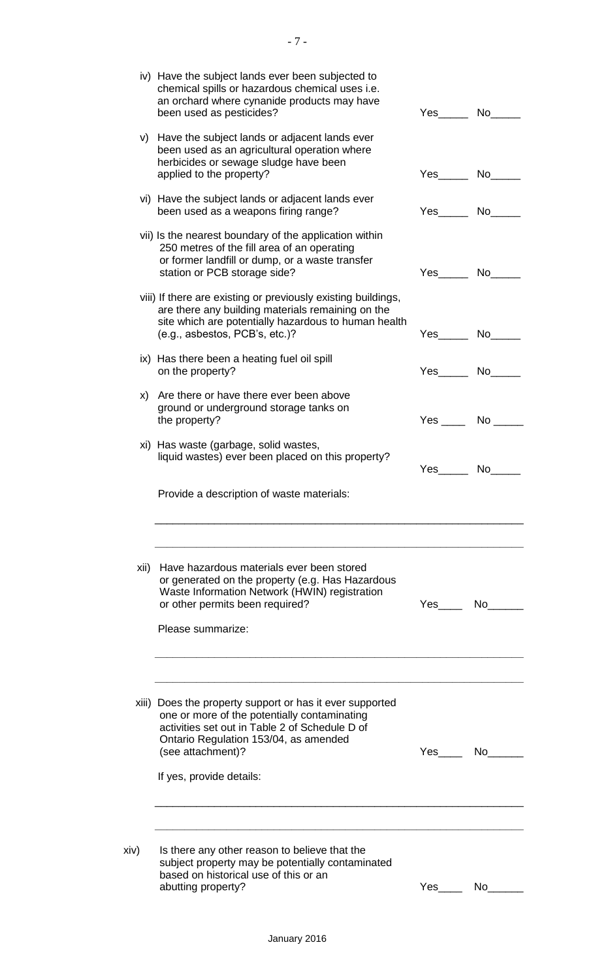|      | iv) Have the subject lands ever been subjected to<br>chemical spills or hazardous chemical uses i.e.<br>an orchard where cynanide products may have<br>been used as pesticides?                                                                      | Yes__________ No_         |      |
|------|------------------------------------------------------------------------------------------------------------------------------------------------------------------------------------------------------------------------------------------------------|---------------------------|------|
|      | v) Have the subject lands or adjacent lands ever<br>been used as an agricultural operation where<br>herbicides or sewage sludge have been<br>applied to the property?                                                                                | Yes No                    |      |
|      | vi) Have the subject lands or adjacent lands ever<br>been used as a weapons firing range?                                                                                                                                                            | Yes No                    |      |
|      | vii) Is the nearest boundary of the application within<br>250 metres of the fill area of an operating<br>or former landfill or dump, or a waste transfer<br>station or PCB storage side?                                                             |                           |      |
|      | viii) If there are existing or previously existing buildings,<br>are there any building materials remaining on the<br>site which are potentially hazardous to human health<br>(e.g., asbestos, PCB's, etc.)?                                         | Yes No                    |      |
|      | ix) Has there been a heating fuel oil spill<br>on the property?                                                                                                                                                                                      | Yes No                    |      |
|      | x) Are there or have there ever been above<br>ground or underground storage tanks on<br>the property?                                                                                                                                                | $Yes \_\_\_$ No $\_\_\_\$ |      |
|      | xi) Has waste (garbage, solid wastes,<br>liquid wastes) ever been placed on this property?                                                                                                                                                           |                           | No l |
|      | Provide a description of waste materials:                                                                                                                                                                                                            |                           |      |
| xii) | Have hazardous materials ever been stored<br>or generated on the property (e.g. Has Hazardous<br>Waste Information Network (HWIN) registration<br>or other permits been required?<br>Please summarize:                                               | Yes No                    |      |
|      | xiii) Does the property support or has it ever supported<br>one or more of the potentially contaminating<br>activities set out in Table 2 of Schedule D of<br>Ontario Regulation 153/04, as amended<br>(see attachment)?<br>If yes, provide details: | Yes No                    |      |
| xiv) | Is there any other reason to believe that the<br>subject property may be potentially contaminated<br>based on historical use of this or an<br>abutting property?                                                                                     | Yes No                    |      |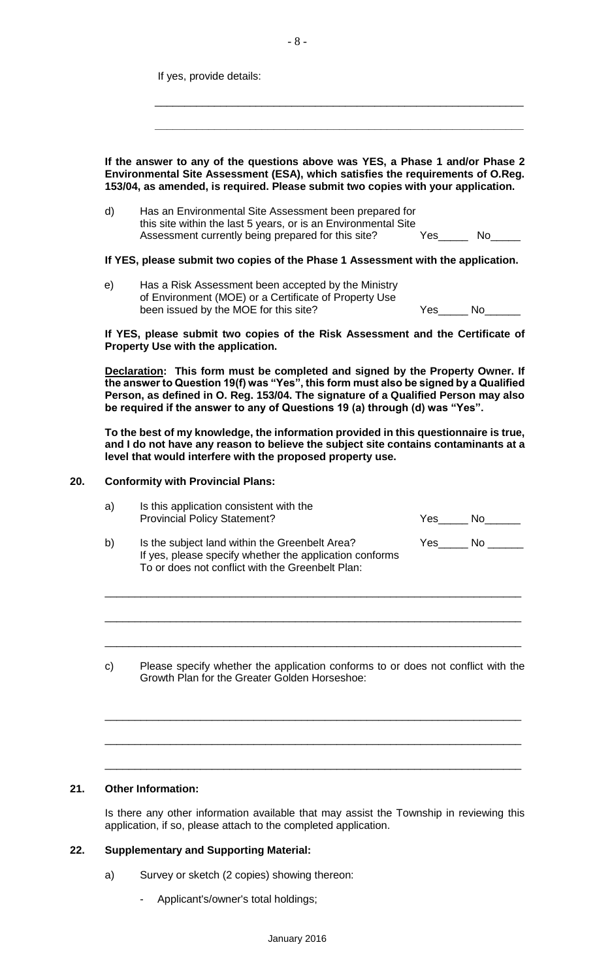If yes, provide details:

**If the answer to any of the questions above was YES, a Phase 1 and/or Phase 2 Environmental Site Assessment (ESA), which satisfies the requirements of O.Reg. 153/04, as amended, is required. Please submit two copies with your application.**

 $\overline{\phantom{a}}$  ,  $\overline{\phantom{a}}$  ,  $\overline{\phantom{a}}$  ,  $\overline{\phantom{a}}$  ,  $\overline{\phantom{a}}$  ,  $\overline{\phantom{a}}$  ,  $\overline{\phantom{a}}$  ,  $\overline{\phantom{a}}$  ,  $\overline{\phantom{a}}$  ,  $\overline{\phantom{a}}$  ,  $\overline{\phantom{a}}$  ,  $\overline{\phantom{a}}$  ,  $\overline{\phantom{a}}$  ,  $\overline{\phantom{a}}$  ,  $\overline{\phantom{a}}$  ,  $\overline{\phantom{a}}$ 

 **\_\_\_\_\_\_\_\_\_\_\_\_\_\_\_\_\_\_\_\_\_\_\_\_\_\_\_\_\_\_\_\_\_\_\_\_\_\_\_\_\_\_\_\_\_\_\_\_\_\_\_\_\_\_\_\_\_\_\_\_\_\_**

d) Has an Environmental Site Assessment been prepared for this site within the last 5 years, or is an Environmental Site Assessment currently being prepared for this site? Yes\_\_\_\_\_\_ No\_\_\_

#### **If YES, please submit two copies of the Phase 1 Assessment with the application.**

e) Has a Risk Assessment been accepted by the Ministry of Environment (MOE) or a Certificate of Property Use been issued by the MOE for this site? The Most Changes of Most Ves

|  | ika Diale Agaaansantanah tira Cantificate of |  |  |
|--|----------------------------------------------|--|--|
|  |                                              |  |  |
|  |                                              |  |  |

**If YES, please submit two copies of the Risk Assessment and the Certificate of Property Use with the application.**

**Declaration: This form must be completed and signed by the Property Owner. If the answer to Question 19(f) was "Yes", this form must also be signed by a Qualified Person, as defined in O. Reg. 153/04. The signature of a Qualified Person may also be required if the answer to any of Questions 19 (a) through (d) was "Yes".**

**To the best of my knowledge, the information provided in this questionnaire is true, and I do not have any reason to believe the subject site contains contaminants at a level that would interfere with the proposed property use.** 

#### **20. Conformity with Provincial Plans:**

| a) | Is this application consistent with the<br><b>Provincial Policy Statement?</b> | Yes      | Nο |  |
|----|--------------------------------------------------------------------------------|----------|----|--|
| い  | In the qubient land within the Croopholt Aroo?                                 | $V \sim$ |    |  |

\_\_\_\_\_\_\_\_\_\_\_\_\_\_\_\_\_\_\_\_\_\_\_\_\_\_\_\_\_\_\_\_\_\_\_\_\_\_\_\_\_\_\_\_\_\_\_\_\_\_\_\_\_\_\_\_\_\_\_\_\_\_\_\_\_\_\_\_\_\_

\_\_\_\_\_\_\_\_\_\_\_\_\_\_\_\_\_\_\_\_\_\_\_\_\_\_\_\_\_\_\_\_\_\_\_\_\_\_\_\_\_\_\_\_\_\_\_\_\_\_\_\_\_\_\_\_\_\_\_\_\_\_\_\_\_\_\_\_\_\_

\_\_\_\_\_\_\_\_\_\_\_\_\_\_\_\_\_\_\_\_\_\_\_\_\_\_\_\_\_\_\_\_\_\_\_\_\_\_\_\_\_\_\_\_\_\_\_\_\_\_\_\_\_\_\_\_\_\_\_\_\_\_\_\_\_\_\_\_\_\_

- b) Is the subject land within the Greenbelt Area? Yes\_\_\_\_\_\_ No \_ If yes, please specify whether the application conforms To or does not conflict with the Greenbelt Plan:
- c) Please specify whether the application conforms to or does not conflict with the Growth Plan for the Greater Golden Horseshoe:

\_\_\_\_\_\_\_\_\_\_\_\_\_\_\_\_\_\_\_\_\_\_\_\_\_\_\_\_\_\_\_\_\_\_\_\_\_\_\_\_\_\_\_\_\_\_\_\_\_\_\_\_\_\_\_\_\_\_\_\_\_\_\_\_\_\_\_\_\_\_

\_\_\_\_\_\_\_\_\_\_\_\_\_\_\_\_\_\_\_\_\_\_\_\_\_\_\_\_\_\_\_\_\_\_\_\_\_\_\_\_\_\_\_\_\_\_\_\_\_\_\_\_\_\_\_\_\_\_\_\_\_\_\_\_\_\_\_\_\_\_

\_\_\_\_\_\_\_\_\_\_\_\_\_\_\_\_\_\_\_\_\_\_\_\_\_\_\_\_\_\_\_\_\_\_\_\_\_\_\_\_\_\_\_\_\_\_\_\_\_\_\_\_\_\_\_\_\_\_\_\_\_\_\_\_\_\_\_\_\_\_

### **21. Other Information:**

Is there any other information available that may assist the Township in reviewing this application, if so, please attach to the completed application.

#### **22. Supplementary and Supporting Material:**

- a) Survey or sketch (2 copies) showing thereon:
	- Applicant's/owner's total holdings;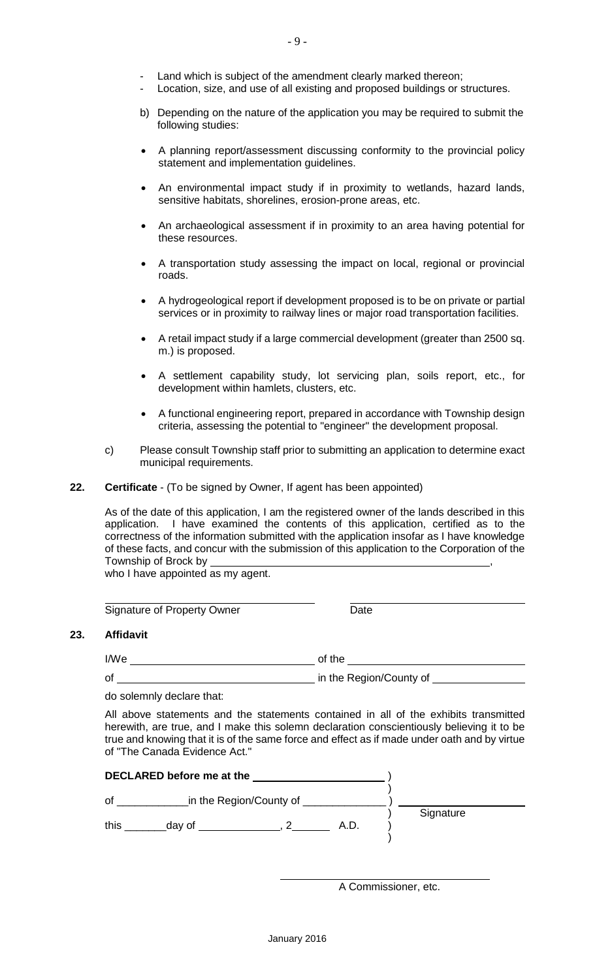- Land which is subject of the amendment clearly marked thereon;
- Location, size, and use of all existing and proposed buildings or structures.
- b) Depending on the nature of the application you may be required to submit the following studies:
- A planning report/assessment discussing conformity to the provincial policy statement and implementation guidelines.
- An environmental impact study if in proximity to wetlands, hazard lands, sensitive habitats, shorelines, erosion-prone areas, etc.
- An archaeological assessment if in proximity to an area having potential for these resources.
- A transportation study assessing the impact on local, regional or provincial roads.
- A hydrogeological report if development proposed is to be on private or partial services or in proximity to railway lines or major road transportation facilities.
- A retail impact study if a large commercial development (greater than 2500 sq. m.) is proposed.
- A settlement capability study, lot servicing plan, soils report, etc., for development within hamlets, clusters, etc.
- A functional engineering report, prepared in accordance with Township design criteria, assessing the potential to "engineer" the development proposal.
- c) Please consult Township staff prior to submitting an application to determine exact municipal requirements.
- **22. Certificate** (To be signed by Owner, If agent has been appointed)

As of the date of this application, I am the registered owner of the lands described in this application. I have examined the contents of this application, certified as to the correctness of the information submitted with the application insofar as I have knowledge of these facts, and concur with the submission of this application to the Corporation of the Township of Brock by ,

who I have appointed as my agent.

Signature of Property Owner **Date** Date

#### **23. Affidavit**

I/We of the settlement of the settlement of the settlement of the settlement of the settlement of the settlement of the settlement of the settlement of the settlement of the settlement of the settlement of the settlement o

of in the Region/County of

do solemnly declare that:

All above statements and the statements contained in all of the exhibits transmitted herewith, are true, and I make this solemn declaration conscientiously believing it to be true and knowing that it is of the same force and effect as if made under oath and by virtue of "The Canada Evidence Act."

| DECLARED before me at the |        |                         |      |  |           |  |
|---------------------------|--------|-------------------------|------|--|-----------|--|
| οf                        |        | in the Region/County of |      |  | Signature |  |
| this                      | day of |                         | A.D. |  |           |  |

A Commissioner, etc.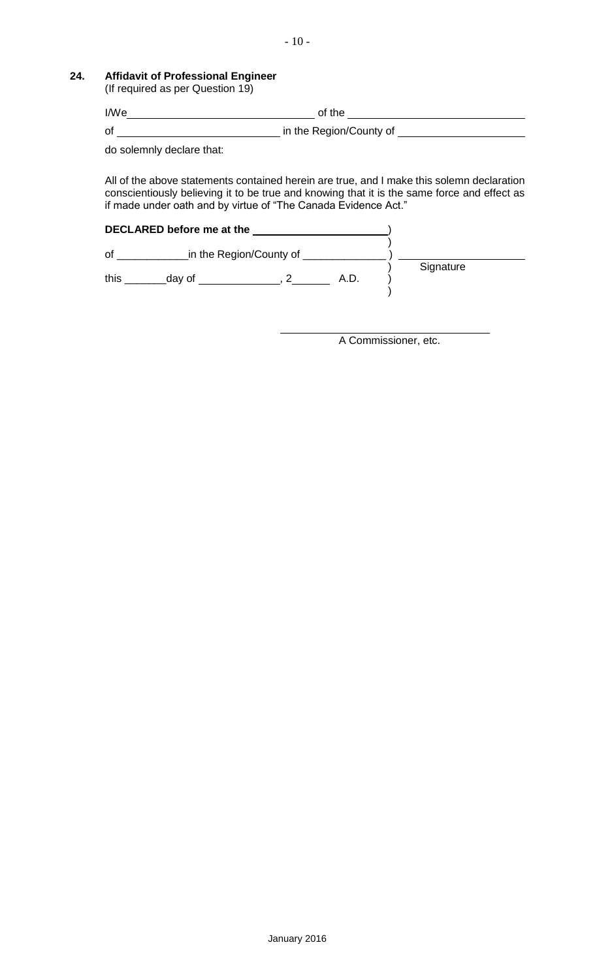**24. Affidavit of Professional Engineer** 

(If required as per Question 19)

| I/We | of the                  |
|------|-------------------------|
| of   | in the Region/County of |

do solemnly declare that:

All of the above statements contained herein are true, and I make this solemn declaration conscientiously believing it to be true and knowing that it is the same force and effect as if made under oath and by virtue of "The Canada Evidence Act."

|      | DECLARED before me at the |                         |      |           |
|------|---------------------------|-------------------------|------|-----------|
| οf   |                           | in the Region/County of |      | Signature |
| this | day of                    |                         | A.D. |           |

A Commissioner, etc.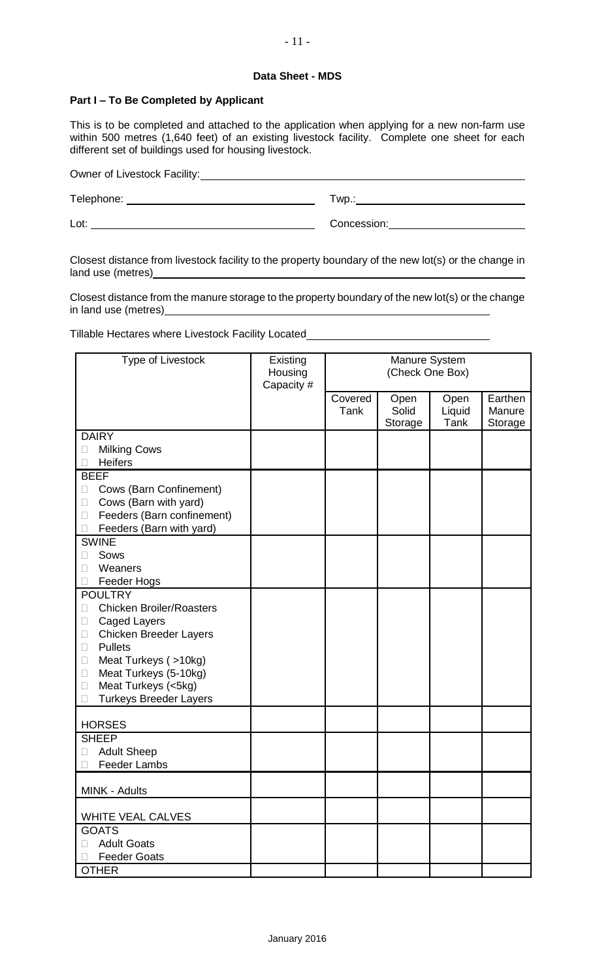#### **Data Sheet - MDS**

#### **Part I – To Be Completed by Applicant**

This is to be completed and attached to the application when applying for a new non-farm use within 500 metres (1,640 feet) of an existing livestock facility. Complete one sheet for each different set of buildings used for housing livestock.

Owner of Livestock Facility:<br>
<u>Livestock Facility:</u> Telephone: Twp.: Lot: Concession:

Closest distance from livestock facility to the property boundary of the new lot(s) or the change in land use (metres)\_

Closest distance from the manure storage to the property boundary of the new lot(s) or the change in land use (metres)

Tillable Hectares where Livestock Facility Located\_\_\_\_\_\_\_\_\_\_\_\_\_\_\_\_\_\_\_\_\_\_\_\_\_\_\_\_\_\_

| Type of Livestock                                           | Existing<br>Housing<br>Capacity# | Manure System<br>(Check One Box) |                          |                        |                              |  |
|-------------------------------------------------------------|----------------------------------|----------------------------------|--------------------------|------------------------|------------------------------|--|
|                                                             |                                  | Covered<br>Tank                  | Open<br>Solid<br>Storage | Open<br>Liquid<br>Tank | Earthen<br>Manure<br>Storage |  |
| <b>DAIRY</b>                                                |                                  |                                  |                          |                        |                              |  |
| <b>Milking Cows</b><br>$\Box$                               |                                  |                                  |                          |                        |                              |  |
| <b>Heifers</b>                                              |                                  |                                  |                          |                        |                              |  |
| <b>BEEF</b>                                                 |                                  |                                  |                          |                        |                              |  |
| Cows (Barn Confinement)<br>$\Box$                           |                                  |                                  |                          |                        |                              |  |
| Cows (Barn with yard)<br>$\Box$                             |                                  |                                  |                          |                        |                              |  |
| Feeders (Barn confinement)<br>$\Box$                        |                                  |                                  |                          |                        |                              |  |
| Feeders (Barn with yard)                                    |                                  |                                  |                          |                        |                              |  |
| <b>SWINE</b>                                                |                                  |                                  |                          |                        |                              |  |
| Sows<br>$\mathbf{L}$                                        |                                  |                                  |                          |                        |                              |  |
| Weaners<br>П                                                |                                  |                                  |                          |                        |                              |  |
| Feeder Hogs                                                 |                                  |                                  |                          |                        |                              |  |
| <b>POULTRY</b>                                              |                                  |                                  |                          |                        |                              |  |
| <b>Chicken Broiler/Roasters</b><br>$\overline{\phantom{a}}$ |                                  |                                  |                          |                        |                              |  |
| <b>Caged Layers</b><br>$\Box$                               |                                  |                                  |                          |                        |                              |  |
| <b>Chicken Breeder Layers</b><br>$\Box$                     |                                  |                                  |                          |                        |                              |  |
| <b>Pullets</b><br>$\Box$                                    |                                  |                                  |                          |                        |                              |  |
|                                                             |                                  |                                  |                          |                        |                              |  |
| Meat Turkeys (>10kg)<br>$\Box$                              |                                  |                                  |                          |                        |                              |  |
| Meat Turkeys (5-10kg)<br>$\Box$                             |                                  |                                  |                          |                        |                              |  |
| Meat Turkeys (<5kg)<br>$\Box$                               |                                  |                                  |                          |                        |                              |  |
| <b>Turkeys Breeder Layers</b>                               |                                  |                                  |                          |                        |                              |  |
| <b>HORSES</b>                                               |                                  |                                  |                          |                        |                              |  |
| <b>SHEEP</b>                                                |                                  |                                  |                          |                        |                              |  |
| <b>Adult Sheep</b><br>$\Box$                                |                                  |                                  |                          |                        |                              |  |
| <b>Feeder Lambs</b>                                         |                                  |                                  |                          |                        |                              |  |
| MINK - Adults                                               |                                  |                                  |                          |                        |                              |  |
| <b>WHITE VEAL CALVES</b>                                    |                                  |                                  |                          |                        |                              |  |
| <b>GOATS</b>                                                |                                  |                                  |                          |                        |                              |  |
| <b>Adult Goats</b><br>П                                     |                                  |                                  |                          |                        |                              |  |
| <b>Feeder Goats</b>                                         |                                  |                                  |                          |                        |                              |  |
| <b>OTHER</b>                                                |                                  |                                  |                          |                        |                              |  |